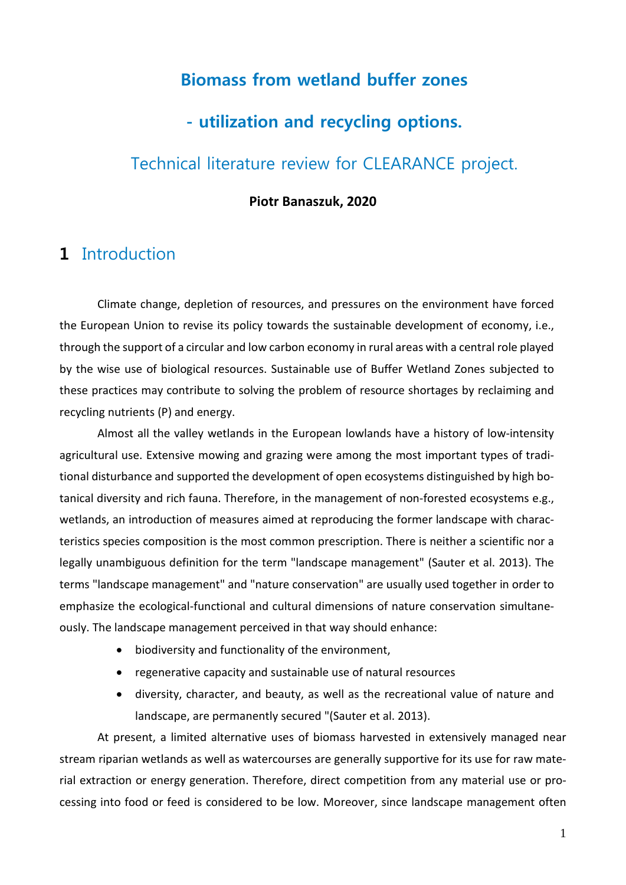## **Biomass from wetland buffer zones**

## **- utilization and recycling options.**

## Technical literature review for CLEARANCE project.

#### **Piotr Banaszuk, 2020**

## **1** Introduction

Climate change, depletion of resources, and pressures on the environment have forced the European Union to revise its policy towards the sustainable development of economy, i.e., through the support of a circular and low carbon economy in rural areas with a central role played by the wise use of biological resources. Sustainable use of Buffer Wetland Zones subjected to these practices may contribute to solving the problem of resource shortages by reclaiming and recycling nutrients (P) and energy.

Almost all the valley wetlands in the European lowlands have a history of low-intensity agricultural use. Extensive mowing and grazing were among the most important types of traditional disturbance and supported the development of open ecosystems distinguished by high botanical diversity and rich fauna. Therefore, in the management of non-forested ecosystems e.g., wetlands, an introduction of measures aimed at reproducing the former landscape with characteristics species composition is the most common prescription. There is neither a scientific nor a legally unambiguous definition for the term "landscape management" (Sauter et al. 2013). The terms "landscape management" and "nature conservation" are usually used together in order to emphasize the ecological-functional and cultural dimensions of nature conservation simultaneously. The landscape management perceived in that way should enhance:

- biodiversity and functionality of the environment,
- regenerative capacity and sustainable use of natural resources
- diversity, character, and beauty, as well as the recreational value of nature and landscape, are permanently secured "(Sauter et al. 2013).

At present, a limited alternative uses of biomass harvested in extensively managed near stream riparian wetlands as well as watercourses are generally supportive for its use for raw material extraction or energy generation. Therefore, direct competition from any material use or processing into food or feed is considered to be low. Moreover, since landscape management often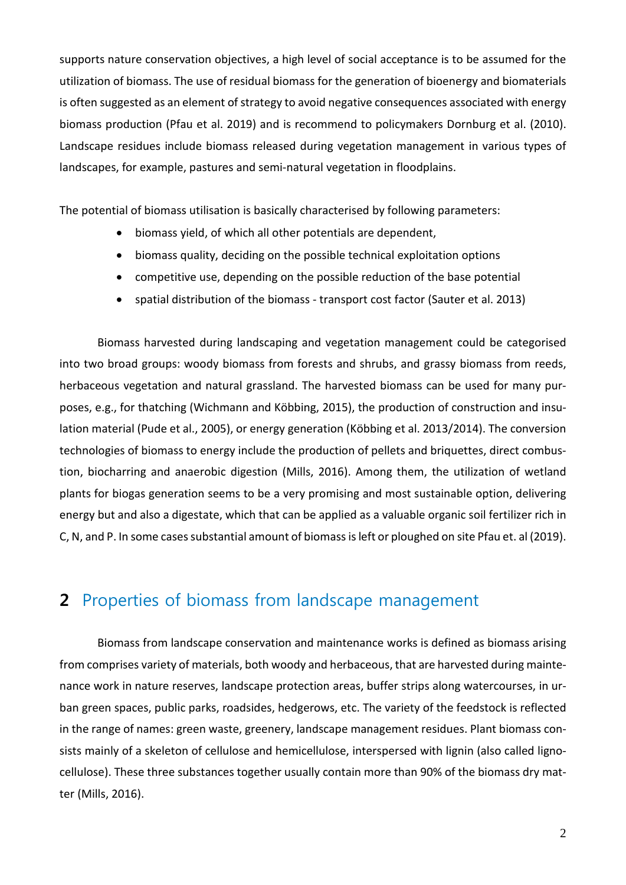supports nature conservation objectives, a high level of social acceptance is to be assumed for the utilization of biomass. The use of residual biomass for the generation of bioenergy and biomaterials is often suggested as an element of strategy to avoid negative consequences associated with energy biomass production (Pfau et al. 2019) and is recommend to policymakers Dornburg et al. (2010). Landscape residues include biomass released during vegetation management in various types of landscapes, for example, pastures and semi-natural vegetation in floodplains.

The potential of biomass utilisation is basically characterised by following parameters:

- biomass yield, of which all other potentials are dependent,
- biomass quality, deciding on the possible technical exploitation options
- competitive use, depending on the possible reduction of the base potential
- spatial distribution of the biomass transport cost factor (Sauter et al. 2013)

Biomass harvested during landscaping and vegetation management could be categorised into two broad groups: woody biomass from forests and shrubs, and grassy biomass from reeds, herbaceous vegetation and natural grassland. The harvested biomass can be used for many purposes, e.g., for thatching (Wichmann and Köbbing, 2015), the production of construction and insulation material (Pude et al., 2005), or energy generation (Köbbing et al. 2013/2014). The conversion technologies of biomass to energy include the production of pellets and briquettes, direct combustion, biocharring and anaerobic digestion (Mills, 2016). Among them, the utilization of wetland plants for biogas generation seems to be a very promising and most sustainable option, delivering energy but and also a digestate, which that can be applied as a valuable organic soil fertilizer rich in C, N, and P. In some cases substantial amount of biomass is left or ploughed on site Pfau et. al (2019).

# **2** Properties of biomass from landscape management

Biomass from landscape conservation and maintenance works is defined as biomass arising from comprises variety of materials, both woody and herbaceous, that are harvested during maintenance work in nature reserves, landscape protection areas, buffer strips along watercourses, in urban green spaces, public parks, roadsides, hedgerows, etc. The variety of the feedstock is reflected in the range of names: green waste, greenery, landscape management residues. Plant biomass consists mainly of a skeleton of cellulose and hemicellulose, interspersed with lignin (also called lignocellulose). These three substances together usually contain more than 90% of the biomass dry matter (Mills, 2016).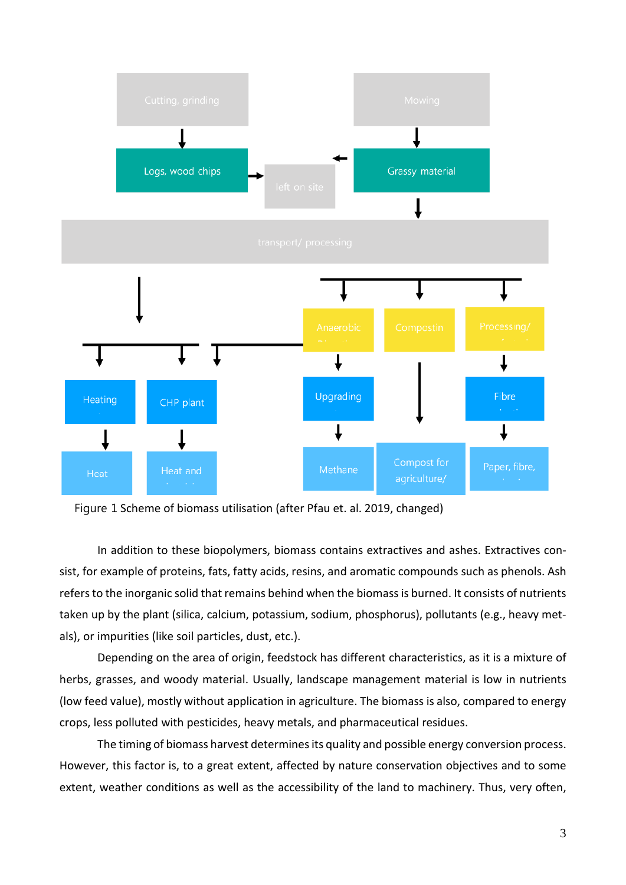

Figure 1 Scheme of biomass utilisation (after Pfau et. al. 2019, changed)

In addition to these biopolymers, biomass contains extractives and ashes. Extractives consist, for example of proteins, fats, fatty acids, resins, and aromatic compounds such as phenols. Ash refers to the inorganic solid that remains behind when the biomass is burned. It consists of nutrients taken up by the plant (silica, calcium, potassium, sodium, phosphorus), pollutants (e.g., heavy metals), or impurities (like soil particles, dust, etc.).

Depending on the area of origin, feedstock has different characteristics, as it is a mixture of herbs, grasses, and woody material. Usually, landscape management material is low in nutrients (low feed value), mostly without application in agriculture. The biomass is also, compared to energy crops, less polluted with pesticides, heavy metals, and pharmaceutical residues.

The timing of biomass harvest determines its quality and possible energy conversion process. However, this factor is, to a great extent, affected by nature conservation objectives and to some extent, weather conditions as well as the accessibility of the land to machinery. Thus, very often,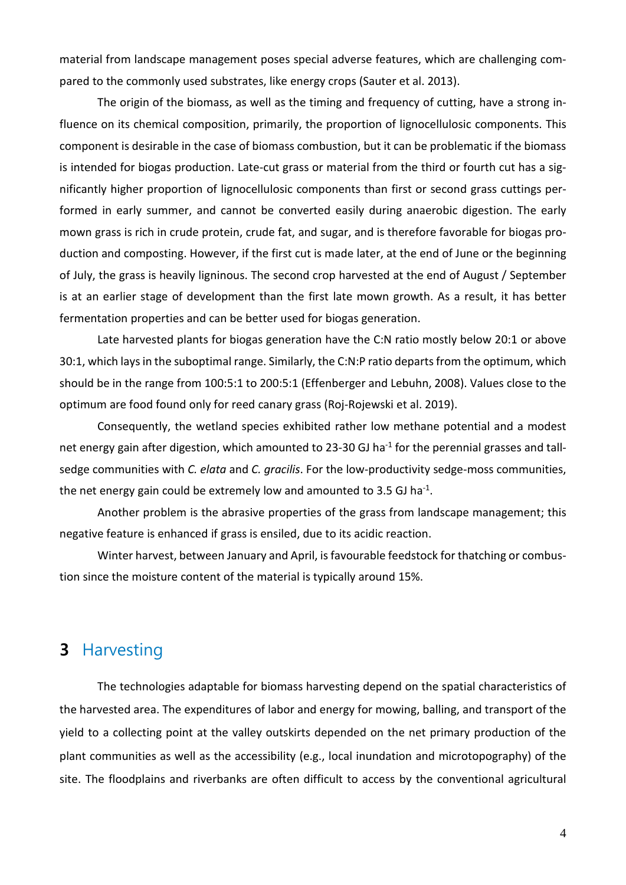material from landscape management poses special adverse features, which are challenging compared to the commonly used substrates, like energy crops (Sauter et al. 2013).

The origin of the biomass, as well as the timing and frequency of cutting, have a strong influence on its chemical composition, primarily, the proportion of lignocellulosic components. This component is desirable in the case of biomass combustion, but it can be problematic if the biomass is intended for biogas production. Late-cut grass or material from the third or fourth cut has a significantly higher proportion of lignocellulosic components than first or second grass cuttings performed in early summer, and cannot be converted easily during anaerobic digestion. The early mown grass is rich in crude protein, crude fat, and sugar, and is therefore favorable for biogas production and composting. However, if the first cut is made later, at the end of June or the beginning of July, the grass is heavily ligninous. The second crop harvested at the end of August / September is at an earlier stage of development than the first late mown growth. As a result, it has better fermentation properties and can be better used for biogas generation.

Late harvested plants for biogas generation have the C:N ratio mostly below 20:1 or above 30:1, which lays in the suboptimal range. Similarly, the C:N:P ratio departs from the optimum, which should be in the range from 100:5:1 to 200:5:1 (Effenberger and Lebuhn, 2008). Values close to the optimum are food found only for reed canary grass (Roj-Rojewski et al. 2019).

Consequently, the wetland species exhibited rather low methane potential and a modest net energy gain after digestion, which amounted to 23-30 GJ ha<sup>-1</sup> for the perennial grasses and tallsedge communities with *C. elata* and *C. gracilis*. For the low-productivity sedge-moss communities, the net energy gain could be extremely low and amounted to 3.5 GJ ha<sup>-1</sup>.

Another problem is the abrasive properties of the grass from landscape management; this negative feature is enhanced if grass is ensiled, due to its acidic reaction.

Winter harvest, between January and April, isfavourable feedstock for thatching or combustion since the moisture content of the material is typically around 15%.

## **3** Harvesting

The technologies adaptable for biomass harvesting depend on the spatial characteristics of the harvested area. The expenditures of labor and energy for mowing, balling, and transport of the yield to a collecting point at the valley outskirts depended on the net primary production of the plant communities as well as the accessibility (e.g., local inundation and microtopography) of the site. The floodplains and riverbanks are often difficult to access by the conventional agricultural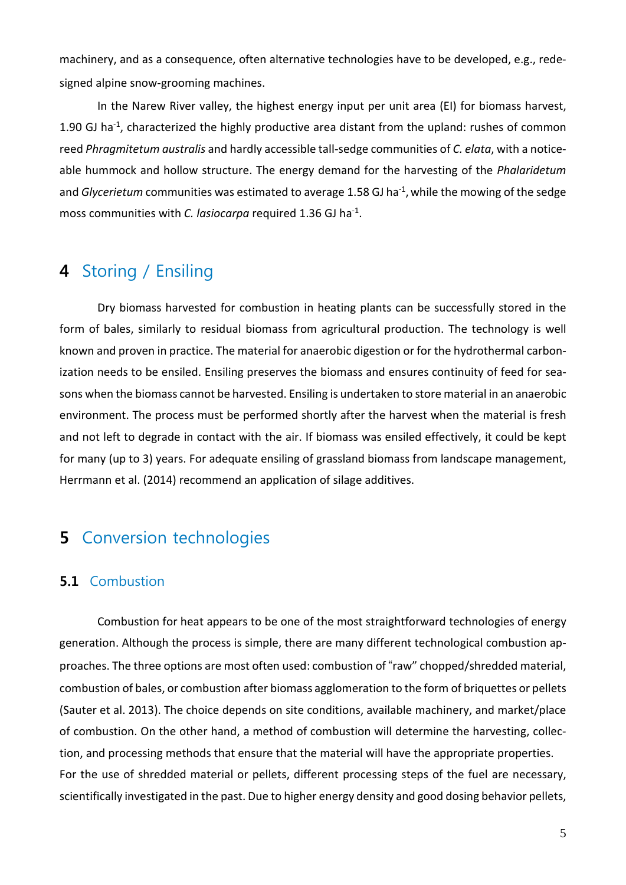machinery, and as a consequence, often alternative technologies have to be developed, e.g., redesigned alpine snow-grooming machines.

In the Narew River valley, the highest energy input per unit area (EI) for biomass harvest, 1.90 GJ ha<sup>-1</sup>, characterized the highly productive area distant from the upland: rushes of common reed *Phragmitetum australis* and hardly accessible tall-sedge communities of *C. elata*, with a noticeable hummock and hollow structure. The energy demand for the harvesting of the *Phalaridetum* and *Glycerietum* communities was estimated to average 1.58 GJ ha<sup>-1</sup>, while the mowing of the sedge moss communities with *C. lasiocarpa* required 1.36 GJ ha-1 .

## **4** Storing / Ensiling

Dry biomass harvested for combustion in heating plants can be successfully stored in the form of bales, similarly to residual biomass from agricultural production. The technology is well known and proven in practice. The material for anaerobic digestion or for the hydrothermal carbonization needs to be ensiled. Ensiling preserves the biomass and ensures continuity of feed for seasons when the biomass cannot be harvested. Ensiling is undertaken to store material in an anaerobic environment. The process must be performed shortly after the harvest when the material is fresh and not left to degrade in contact with the air. If biomass was ensiled effectively, it could be kept for many (up to 3) years. For adequate ensiling of grassland biomass from landscape management, Herrmann et al. (2014) recommend an application of silage additives.

# **5** Conversion technologies

## **5.1** Combustion

Combustion for heat appears to be one of the most straightforward technologies of energy generation. Although the process is simple, there are many different technological combustion approaches. The three options are most often used: combustion of "raw" chopped/shredded material, combustion of bales, or combustion after biomass agglomeration to the form of briquettes or pellets (Sauter et al. 2013). The choice depends on site conditions, available machinery, and market/place of combustion. On the other hand, a method of combustion will determine the harvesting, collection, and processing methods that ensure that the material will have the appropriate properties. For the use of shredded material or pellets, different processing steps of the fuel are necessary, scientifically investigated in the past. Due to higher energy density and good dosing behavior pellets,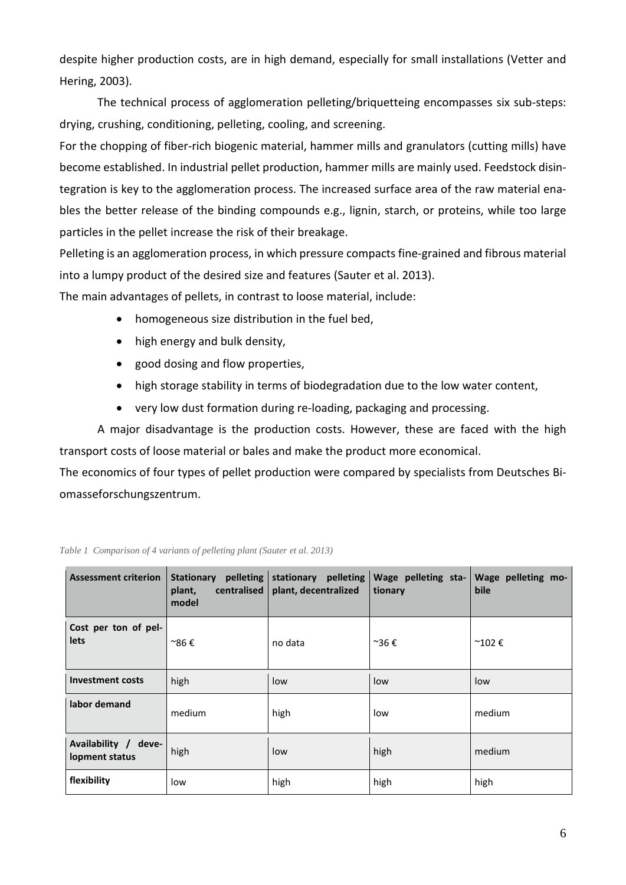despite higher production costs, are in high demand, especially for small installations (Vetter and Hering, 2003).

The technical process of agglomeration pelleting/briquetteing encompasses six sub-steps: drying, crushing, conditioning, pelleting, cooling, and screening.

For the chopping of fiber-rich biogenic material, hammer mills and granulators (cutting mills) have become established. In industrial pellet production, hammer mills are mainly used. Feedstock disintegration is key to the agglomeration process. The increased surface area of the raw material enables the better release of the binding compounds e.g., lignin, starch, or proteins, while too large particles in the pellet increase the risk of their breakage.

Pelleting is an agglomeration process, in which pressure compacts fine-grained and fibrous material into a lumpy product of the desired size and features (Sauter et al. 2013).

The main advantages of pellets, in contrast to loose material, include:

- homogeneous size distribution in the fuel bed,
- high energy and bulk density,
- good dosing and flow properties,
- high storage stability in terms of biodegradation due to the low water content,
- very low dust formation during re-loading, packaging and processing.

A major disadvantage is the production costs. However, these are faced with the high transport costs of loose material or bales and make the product more economical.

The economics of four types of pellet production were compared by specialists from Deutsches Biomasseforschungszentrum.

| <b>Assessment criterion</b>            | Stationary pelleting<br>centralised<br>plant,<br>model | stationary pelleting<br>plant, decentralized | Wage pelleting sta-<br>tionary | Wage pelleting mo-<br>bile |
|----------------------------------------|--------------------------------------------------------|----------------------------------------------|--------------------------------|----------------------------|
| Cost per ton of pel-<br>lets           | ~86€                                                   | no data                                      | ~36€                           | $^{\sim}102 \in$           |
| <b>Investment costs</b>                | high                                                   | low                                          | low                            | low                        |
| labor demand                           | medium                                                 | high                                         | low                            | medium                     |
| Availability / deve-<br>lopment status | high                                                   | low                                          | high                           | medium                     |
| flexibility                            | low                                                    | high                                         | high                           | high                       |

*Table 1 Comparison of 4 variants of pelleting plant (Sauter et al. 2013)*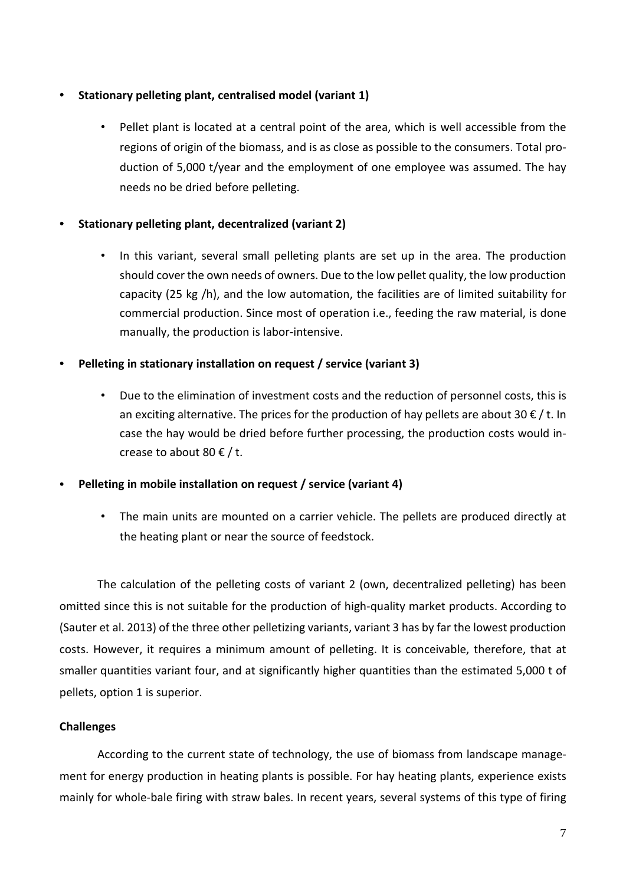#### • **Stationary pelleting plant, centralised model (variant 1)**

• Pellet plant is located at a central point of the area, which is well accessible from the regions of origin of the biomass, and is as close as possible to the consumers. Total production of 5,000 t/year and the employment of one employee was assumed. The hay needs no be dried before pelleting.

#### • **Stationary pelleting plant, decentralized (variant 2)**

• In this variant, several small pelleting plants are set up in the area. The production should cover the own needs of owners. Due to the low pellet quality, the low production capacity (25 kg /h), and the low automation, the facilities are of limited suitability for commercial production. Since most of operation i.e., feeding the raw material, is done manually, the production is labor-intensive.

#### • **Pelleting in stationary installation on request / service (variant 3)**

• Due to the elimination of investment costs and the reduction of personnel costs, this is an exciting alternative. The prices for the production of hay pellets are about 30  $\epsilon$  / t. In case the hay would be dried before further processing, the production costs would increase to about 80  $\epsilon$  / t.

#### • **Pelleting in mobile installation on request / service (variant 4)**

The main units are mounted on a carrier vehicle. The pellets are produced directly at the heating plant or near the source of feedstock.

The calculation of the pelleting costs of variant 2 (own, decentralized pelleting) has been omitted since this is not suitable for the production of high-quality market products. According to (Sauter et al. 2013) of the three other pelletizing variants, variant 3 has by far the lowest production costs. However, it requires a minimum amount of pelleting. It is conceivable, therefore, that at smaller quantities variant four, and at significantly higher quantities than the estimated 5,000 t of pellets, option 1 is superior.

#### **Challenges**

According to the current state of technology, the use of biomass from landscape management for energy production in heating plants is possible. For hay heating plants, experience exists mainly for whole-bale firing with straw bales. In recent years, several systems of this type of firing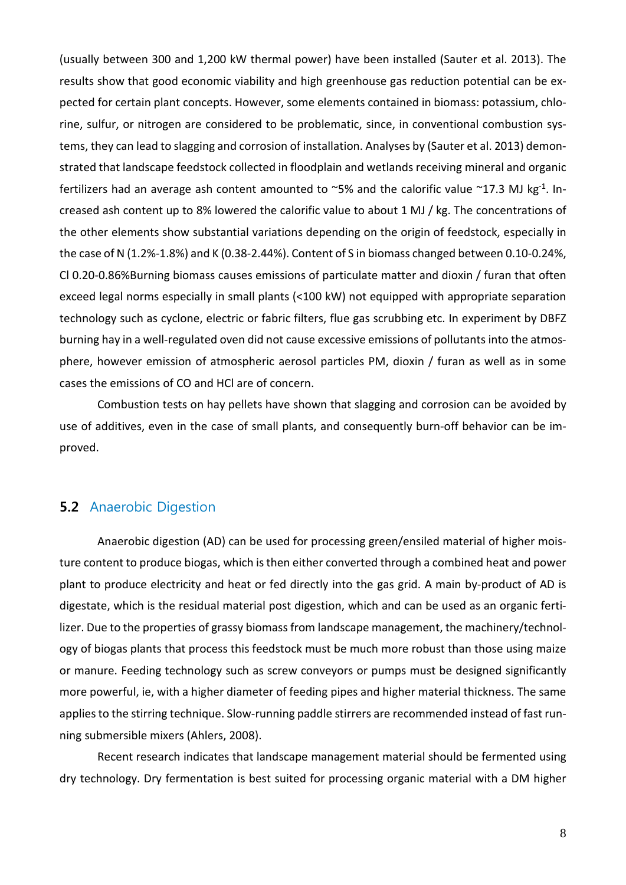(usually between 300 and 1,200 kW thermal power) have been installed (Sauter et al. 2013). The results show that good economic viability and high greenhouse gas reduction potential can be expected for certain plant concepts. However, some elements contained in biomass: potassium, chlorine, sulfur, or nitrogen are considered to be problematic, since, in conventional combustion systems, they can lead to slagging and corrosion of installation. Analyses by (Sauter et al. 2013) demonstrated that landscape feedstock collected in floodplain and wetlands receiving mineral and organic fertilizers had an average ash content amounted to  $\sim$ 5% and the calorific value  $\sim$ 17.3 MJ kg<sup>-1</sup>. Increased ash content up to 8% lowered the calorific value to about 1 MJ / kg. The concentrations of the other elements show substantial variations depending on the origin of feedstock, especially in the case of N (1.2%-1.8%) and K (0.38-2.44%). Content of S in biomass changed between 0.10-0.24%, Cl 0.20-0.86%Burning biomass causes emissions of particulate matter and dioxin / furan that often exceed legal norms especially in small plants (<100 kW) not equipped with appropriate separation technology such as cyclone, electric or fabric filters, flue gas scrubbing etc. In experiment by DBFZ burning hay in a well-regulated oven did not cause excessive emissions of pollutants into the atmosphere, however emission of atmospheric aerosol particles PM, dioxin / furan as well as in some cases the emissions of CO and HCl are of concern.

Combustion tests on hay pellets have shown that slagging and corrosion can be avoided by use of additives, even in the case of small plants, and consequently burn-off behavior can be improved.

## **5.2** Anaerobic Digestion

Anaerobic digestion (AD) can be used for processing green/ensiled material of higher moisture content to produce biogas, which is then either converted through a combined heat and power plant to produce electricity and heat or fed directly into the gas grid. A main by-product of AD is digestate, which is the residual material post digestion, which and can be used as an organic fertilizer. Due to the properties of grassy biomass from landscape management, the machinery/technology of biogas plants that process this feedstock must be much more robust than those using maize or manure. Feeding technology such as screw conveyors or pumps must be designed significantly more powerful, ie, with a higher diameter of feeding pipes and higher material thickness. The same applies to the stirring technique. Slow-running paddle stirrers are recommended instead of fast running submersible mixers (Ahlers, 2008).

Recent research indicates that landscape management material should be fermented using dry technology. Dry fermentation is best suited for processing organic material with a DM higher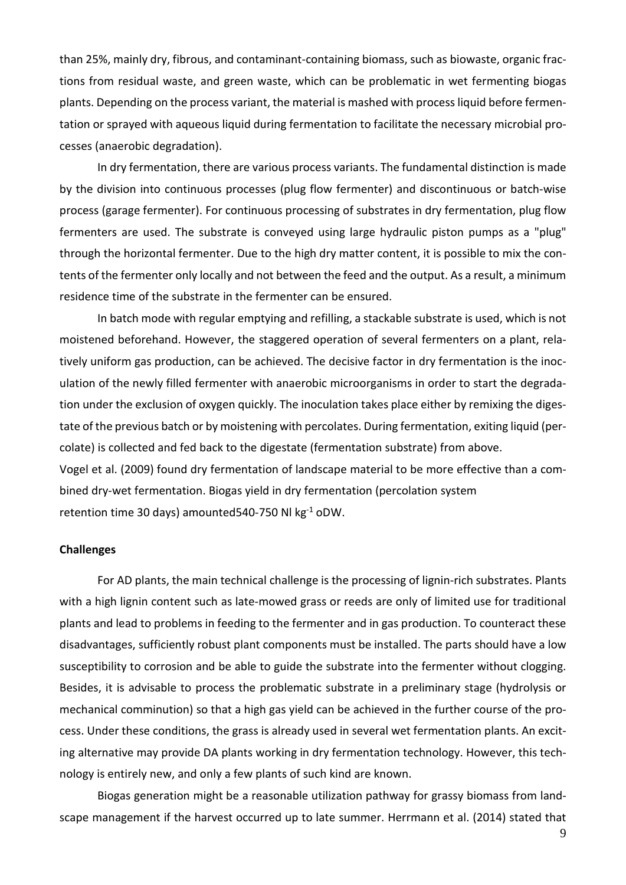than 25%, mainly dry, fibrous, and contaminant-containing biomass, such as biowaste, organic fractions from residual waste, and green waste, which can be problematic in wet fermenting biogas plants. Depending on the process variant, the material is mashed with processliquid before fermentation or sprayed with aqueous liquid during fermentation to facilitate the necessary microbial processes (anaerobic degradation).

In dry fermentation, there are various process variants. The fundamental distinction is made by the division into continuous processes (plug flow fermenter) and discontinuous or batch-wise process (garage fermenter). For continuous processing of substrates in dry fermentation, plug flow fermenters are used. The substrate is conveyed using large hydraulic piston pumps as a "plug" through the horizontal fermenter. Due to the high dry matter content, it is possible to mix the contents of the fermenter only locally and not between the feed and the output. As a result, a minimum residence time of the substrate in the fermenter can be ensured.

In batch mode with regular emptying and refilling, a stackable substrate is used, which is not moistened beforehand. However, the staggered operation of several fermenters on a plant, relatively uniform gas production, can be achieved. The decisive factor in dry fermentation is the inoculation of the newly filled fermenter with anaerobic microorganisms in order to start the degradation under the exclusion of oxygen quickly. The inoculation takes place either by remixing the digestate of the previous batch or by moistening with percolates. During fermentation, exiting liquid (percolate) is collected and fed back to the digestate (fermentation substrate) from above. Vogel et al. (2009) found dry fermentation of landscape material to be more effective than a combined dry-wet fermentation. Biogas yield in dry fermentation (percolation system retention time 30 days) amounted540-750 Nl kg-1 oDW.

#### **Challenges**

For AD plants, the main technical challenge is the processing of lignin-rich substrates. Plants with a high lignin content such as late-mowed grass or reeds are only of limited use for traditional plants and lead to problems in feeding to the fermenter and in gas production. To counteract these disadvantages, sufficiently robust plant components must be installed. The parts should have a low susceptibility to corrosion and be able to guide the substrate into the fermenter without clogging. Besides, it is advisable to process the problematic substrate in a preliminary stage (hydrolysis or mechanical comminution) so that a high gas yield can be achieved in the further course of the process. Under these conditions, the grass is already used in several wet fermentation plants. An exciting alternative may provide DA plants working in dry fermentation technology. However, this technology is entirely new, and only a few plants of such kind are known.

Biogas generation might be a reasonable utilization pathway for grassy biomass from landscape management if the harvest occurred up to late summer. Herrmann et al. (2014) stated that

9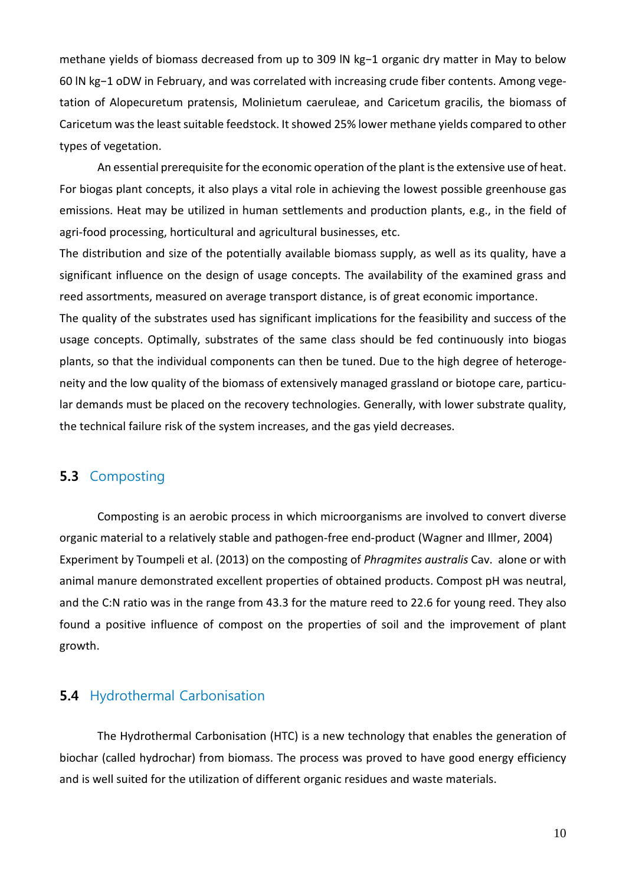methane yields of biomass decreased from up to 309 lN kg−1 organic dry matter in May to below 60 lN kg−1 oDW in February, and was correlated with increasing crude fiber contents. Among vegetation of Alopecuretum pratensis, Molinietum caeruleae, and Caricetum gracilis, the biomass of Caricetum was the least suitable feedstock. It showed 25% lower methane yields compared to other types of vegetation.

An essential prerequisite for the economic operation of the plant is the extensive use of heat. For biogas plant concepts, it also plays a vital role in achieving the lowest possible greenhouse gas emissions. Heat may be utilized in human settlements and production plants, e.g., in the field of agri-food processing, horticultural and agricultural businesses, etc.

The distribution and size of the potentially available biomass supply, as well as its quality, have a significant influence on the design of usage concepts. The availability of the examined grass and reed assortments, measured on average transport distance, is of great economic importance.

The quality of the substrates used has significant implications for the feasibility and success of the usage concepts. Optimally, substrates of the same class should be fed continuously into biogas plants, so that the individual components can then be tuned. Due to the high degree of heterogeneity and the low quality of the biomass of extensively managed grassland or biotope care, particular demands must be placed on the recovery technologies. Generally, with lower substrate quality, the technical failure risk of the system increases, and the gas yield decreases.

## **5.3** Composting

Composting is an aerobic process in which microorganisms are involved to convert diverse organic material to a relatively stable and pathogen-free end-product (Wagner and Illmer, 2004) Experiment by Toumpeli et al. (2013) on the composting of *Phragmites australis* Cav. alone or with animal manure demonstrated excellent properties of obtained products. Compost pH was neutral, and the C:N ratio was in the range from 43.3 for the mature reed to 22.6 for young reed. They also found a positive influence of compost on the properties of soil and the improvement of plant growth.

### **5.4** Hydrothermal Carbonisation

The Hydrothermal Carbonisation (HTC) is a new technology that enables the generation of biochar (called hydrochar) from biomass. The process was proved to have good energy efficiency and is well suited for the utilization of different organic residues and waste materials.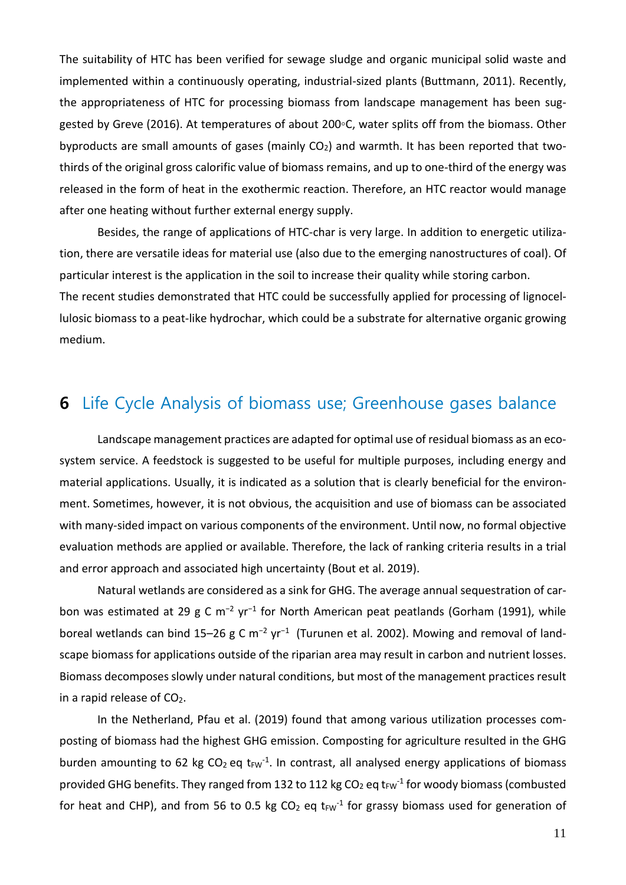The suitability of HTC has been verified for sewage sludge and organic municipal solid waste and implemented within a continuously operating, industrial-sized plants (Buttmann, 2011). Recently, the appropriateness of HTC for processing biomass from landscape management has been suggested by Greve (2016). At temperatures of about 200℃, water splits off from the biomass. Other byproducts are small amounts of gases (mainly  $CO<sub>2</sub>$ ) and warmth. It has been reported that twothirds of the original gross calorific value of biomass remains, and up to one-third of the energy was released in the form of heat in the exothermic reaction. Therefore, an HTC reactor would manage after one heating without further external energy supply.

Besides, the range of applications of HTC-char is very large. In addition to energetic utilization, there are versatile ideas for material use (also due to the emerging nanostructures of coal). Of particular interest is the application in the soil to increase their quality while storing carbon. The recent studies demonstrated that HTC could be successfully applied for processing of lignocellulosic biomass to a peat-like hydrochar, which could be a substrate for alternative organic growing medium.

## **6** Life Cycle Analysis of biomass use; Greenhouse gases balance

Landscape management practices are adapted for optimal use of residual biomass as an ecosystem service. A feedstock is suggested to be useful for multiple purposes, including energy and material applications. Usually, it is indicated as a solution that is clearly beneficial for the environment. Sometimes, however, it is not obvious, the acquisition and use of biomass can be associated with many-sided impact on various components of the environment. Until now, no formal objective evaluation methods are applied or available. Therefore, the lack of ranking criteria results in a trial and error approach and associated high uncertainty (Bout et al. 2019).

Natural wetlands are considered as a sink for GHG. The average annual sequestration of carbon was estimated at 29 g C m<sup>-2</sup> yr<sup>-1</sup> for North American peat peatlands (Gorham (1991), while boreal wetlands can bind 15–26 g C m<sup>-2</sup> yr<sup>-1</sup> (Turunen et al. 2002). Mowing and removal of landscape biomass for applications outside of the riparian area may result in carbon and nutrient losses. Biomass decomposes slowly under natural conditions, but most of the management practices result in a rapid release of  $CO<sub>2</sub>$ .

In the Netherland, Pfau et al. (2019) found that among various utilization processes composting of biomass had the highest GHG emission. Composting for agriculture resulted in the GHG burden amounting to 62 kg CO<sub>2</sub> eq t<sub>FW</sub><sup>-1</sup>. In contrast, all analysed energy applications of biomass provided GHG benefits. They ranged from 132 to 112 kg CO<sub>2</sub> eq t<sub>FW</sub><sup>-1</sup> for woody biomass (combusted for heat and CHP), and from 56 to 0.5 kg  $CO<sub>2</sub>$  eq t<sub>FW</sub><sup>-1</sup> for grassy biomass used for generation of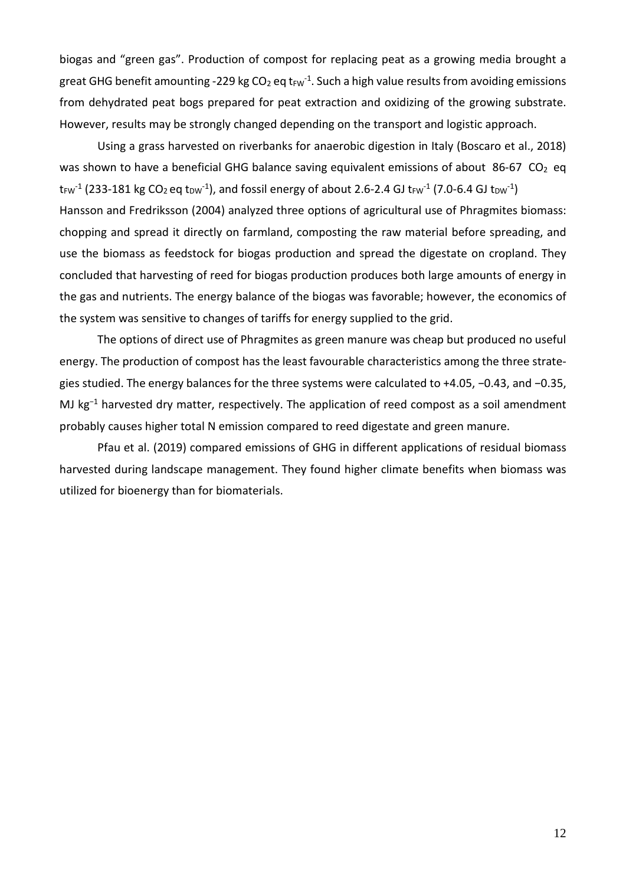biogas and "green gas". Production of compost for replacing peat as a growing media brought a great GHG benefit amounting -229 kg CO<sub>2</sub> eq t<sub>FW</sub><sup>-1</sup>. Such a high value results from avoiding emissions from dehydrated peat bogs prepared for peat extraction and oxidizing of the growing substrate. However, results may be strongly changed depending on the transport and logistic approach.

Using a grass harvested on riverbanks for anaerobic digestion in Italy (Boscaro et al., 2018) was shown to have a beneficial GHG balance saving equivalent emissions of about 86-67  $CO<sub>2</sub>$  eq t $_{\rm{FW}}$ <sup>1</sup> (233-181 kg CO<sub>2</sub> eq t<sub>DW</sub><sup>-1</sup>), and fossil energy of about 2.6-2.4 GJ t $_{\rm{FW}}$ <sup>-1</sup> (7.0-6.4 GJ t $_{\rm{DW}}$ <sup>-1</sup>) Hansson and Fredriksson (2004) analyzed three options of agricultural use of Phragmites biomass: chopping and spread it directly on farmland, composting the raw material before spreading, and use the biomass as feedstock for biogas production and spread the digestate on cropland. They concluded that harvesting of reed for biogas production produces both large amounts of energy in the gas and nutrients. The energy balance of the biogas was favorable; however, the economics of the system was sensitive to changes of tariffs for energy supplied to the grid.

The options of direct use of Phragmites as green manure was cheap but produced no useful energy. The production of compost has the least favourable characteristics among the three strategies studied. The energy balances for the three systems were calculated to +4.05, −0.43, and −0.35, MJ kg<sup>-1</sup> harvested dry matter, respectively. The application of reed compost as a soil amendment probably causes higher total N emission compared to reed digestate and green manure.

Pfau et al. (2019) compared emissions of GHG in different applications of residual biomass harvested during landscape management. They found higher climate benefits when biomass was utilized for bioenergy than for biomaterials.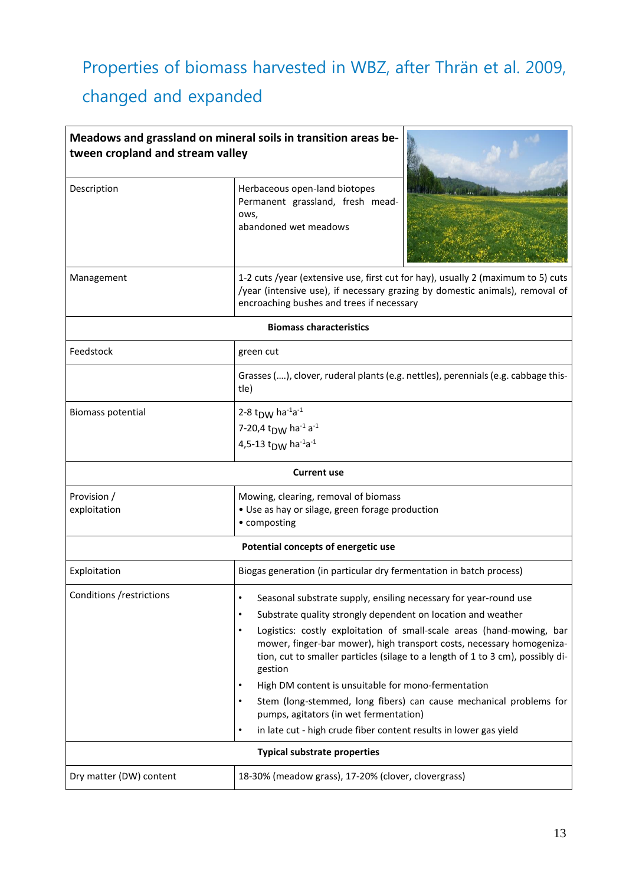# Properties of biomass harvested in WBZ, after Thrän et al. 2009,

# changed and expanded

| Meadows and grassland on mineral soils in transition areas be-<br>tween cropland and stream valley |                                                                                                                                                                                                                                                                                                                                                                                                                                                                                                                                                                                                                                                                                      |  |  |
|----------------------------------------------------------------------------------------------------|--------------------------------------------------------------------------------------------------------------------------------------------------------------------------------------------------------------------------------------------------------------------------------------------------------------------------------------------------------------------------------------------------------------------------------------------------------------------------------------------------------------------------------------------------------------------------------------------------------------------------------------------------------------------------------------|--|--|
| Description                                                                                        | Herbaceous open-land biotopes<br>Permanent grassland, fresh mead-<br>ows,<br>abandoned wet meadows                                                                                                                                                                                                                                                                                                                                                                                                                                                                                                                                                                                   |  |  |
| Management                                                                                         | 1-2 cuts /year (extensive use, first cut for hay), usually 2 (maximum to 5) cuts<br>/year (intensive use), if necessary grazing by domestic animals), removal of<br>encroaching bushes and trees if necessary                                                                                                                                                                                                                                                                                                                                                                                                                                                                        |  |  |
|                                                                                                    | <b>Biomass characteristics</b>                                                                                                                                                                                                                                                                                                                                                                                                                                                                                                                                                                                                                                                       |  |  |
| Feedstock                                                                                          | green cut                                                                                                                                                                                                                                                                                                                                                                                                                                                                                                                                                                                                                                                                            |  |  |
|                                                                                                    | Grasses (), clover, ruderal plants (e.g. nettles), perennials (e.g. cabbage this-<br>tle)                                                                                                                                                                                                                                                                                                                                                                                                                                                                                                                                                                                            |  |  |
| <b>Biomass potential</b>                                                                           | 2-8 t <sub>DW</sub> ha <sup>-1</sup> a <sup>-1</sup><br>7-20,4 t <sub>DW</sub> ha <sup>-1</sup> a <sup>-1</sup><br>4,5-13 t <sub>DW</sub> ha <sup>-1</sup> a <sup>-1</sup>                                                                                                                                                                                                                                                                                                                                                                                                                                                                                                           |  |  |
|                                                                                                    | <b>Current use</b>                                                                                                                                                                                                                                                                                                                                                                                                                                                                                                                                                                                                                                                                   |  |  |
| Provision /<br>exploitation                                                                        | Mowing, clearing, removal of biomass<br>• Use as hay or silage, green forage production<br>• composting                                                                                                                                                                                                                                                                                                                                                                                                                                                                                                                                                                              |  |  |
| Potential concepts of energetic use                                                                |                                                                                                                                                                                                                                                                                                                                                                                                                                                                                                                                                                                                                                                                                      |  |  |
| Exploitation                                                                                       | Biogas generation (in particular dry fermentation in batch process)                                                                                                                                                                                                                                                                                                                                                                                                                                                                                                                                                                                                                  |  |  |
| Conditions / restrictions                                                                          | Seasonal substrate supply, ensiling necessary for year-round use<br>Substrate quality strongly dependent on location and weather<br>$\bullet$<br>Logistics: costly exploitation of small-scale areas (hand-mowing, bar<br>٠<br>mower, finger-bar mower), high transport costs, necessary homogeniza-<br>tion, cut to smaller particles (silage to a length of 1 to 3 cm), possibly di-<br>gestion<br>High DM content is unsuitable for mono-fermentation<br>Stem (long-stemmed, long fibers) can cause mechanical problems for<br>pumps, agitators (in wet fermentation)<br>in late cut - high crude fiber content results in lower gas yield<br><b>Typical substrate properties</b> |  |  |
| Dry matter (DW) content                                                                            | 18-30% (meadow grass), 17-20% (clover, clovergrass)                                                                                                                                                                                                                                                                                                                                                                                                                                                                                                                                                                                                                                  |  |  |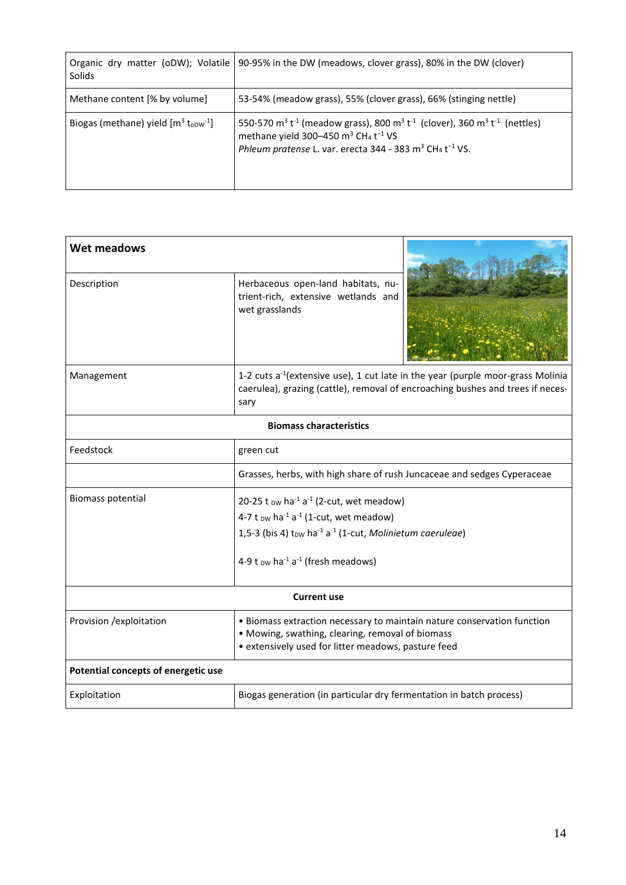| Solids                                                         | Organic dry matter (oDW); Volatile   90-95% in the DW (meadows, clover grass), 80% in the DW (clover)                                                                                                                                                                                                                    |
|----------------------------------------------------------------|--------------------------------------------------------------------------------------------------------------------------------------------------------------------------------------------------------------------------------------------------------------------------------------------------------------------------|
| Methane content [% by volume]                                  | 53-54% (meadow grass), 55% (clover grass), 66% (stinging nettle)                                                                                                                                                                                                                                                         |
| Biogas (methane) yield $[m^3$ t <sub>opw</sub> <sup>-1</sup> ] | 550-570 m <sup>3</sup> t <sup>-1</sup> (meadow grass), 800 m <sup>3</sup> t <sup>-1</sup> (clover), 360 m <sup>3</sup> t <sup>-1</sup> (nettles)<br>methane yield 300-450 $\text{m}^3$ CH <sub>4</sub> t <sup>-1</sup> VS<br>Phleum pratense L. var. erecta 344 - 383 m <sup>3</sup> CH <sub>4</sub> t <sup>-1</sup> VS. |

| Wet meadows                         |                                                                                                                                                                                                                                                                                                              |  |
|-------------------------------------|--------------------------------------------------------------------------------------------------------------------------------------------------------------------------------------------------------------------------------------------------------------------------------------------------------------|--|
| Description                         | Herbaceous open-land habitats, nu-<br>trient-rich, extensive wetlands and<br>wet grasslands                                                                                                                                                                                                                  |  |
| Management                          | 1-2 cuts a <sup>-1</sup> (extensive use), 1 cut late in the year (purple moor-grass Molinia<br>caerulea), grazing (cattle), removal of encroaching bushes and trees if neces-<br>sary                                                                                                                        |  |
|                                     | <b>Biomass characteristics</b>                                                                                                                                                                                                                                                                               |  |
| Feedstock                           | green cut                                                                                                                                                                                                                                                                                                    |  |
|                                     | Grasses, herbs, with high share of rush Juncaceae and sedges Cyperaceae                                                                                                                                                                                                                                      |  |
| <b>Biomass potential</b>            | 20-25 t $_{DW}$ ha <sup>-1</sup> a <sup>-1</sup> (2-cut, wet meadow)<br>4-7 t $_{DW}$ ha <sup>-1</sup> a <sup>-1</sup> (1-cut, wet meadow)<br>1,5-3 (bis 4) t <sub>DW</sub> ha <sup>-1</sup> a <sup>-1</sup> (1-cut, Molinietum caeruleae)<br>4-9 t $_{DW}$ ha <sup>-1</sup> a <sup>-1</sup> (fresh meadows) |  |
|                                     | <b>Current use</b>                                                                                                                                                                                                                                                                                           |  |
| Provision / exploitation            | • Biomass extraction necessary to maintain nature conservation function<br>• Mowing, swathing, clearing, removal of biomass<br>• extensively used for litter meadows, pasture feed                                                                                                                           |  |
| Potential concepts of energetic use |                                                                                                                                                                                                                                                                                                              |  |
| Exploitation                        | Biogas generation (in particular dry fermentation in batch process)                                                                                                                                                                                                                                          |  |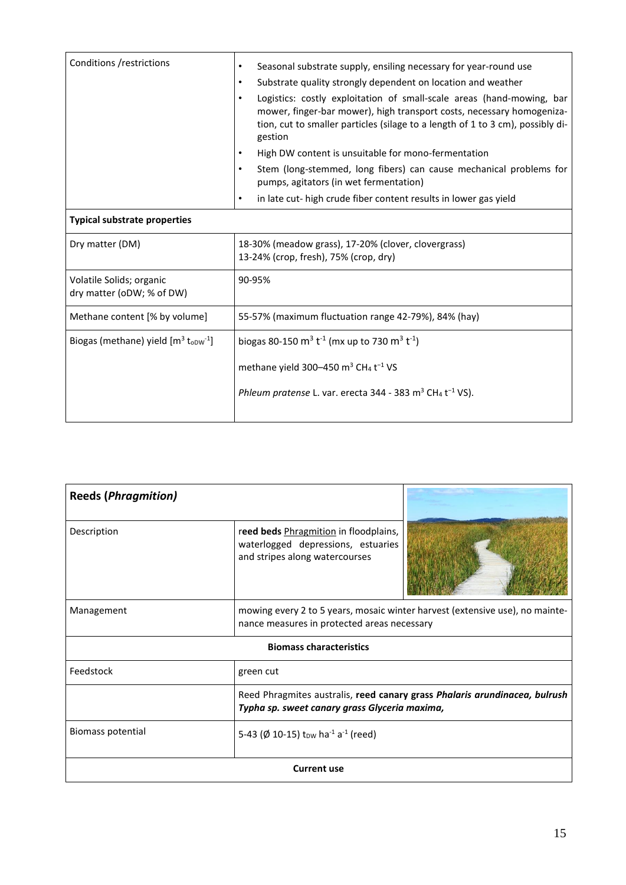| Conditions /restrictions                                       | Seasonal substrate supply, ensiling necessary for year-round use<br>$\bullet$                                                                                                                                                                            |  |
|----------------------------------------------------------------|----------------------------------------------------------------------------------------------------------------------------------------------------------------------------------------------------------------------------------------------------------|--|
|                                                                | Substrate quality strongly dependent on location and weather<br>$\bullet$                                                                                                                                                                                |  |
|                                                                | Logistics: costly exploitation of small-scale areas (hand-mowing, bar<br>$\bullet$<br>mower, finger-bar mower), high transport costs, necessary homogeniza-<br>tion, cut to smaller particles (silage to a length of 1 to 3 cm), possibly di-<br>gestion |  |
|                                                                | High DW content is unsuitable for mono-fermentation<br>$\bullet$                                                                                                                                                                                         |  |
|                                                                | Stem (long-stemmed, long fibers) can cause mechanical problems for<br>$\bullet$<br>pumps, agitators (in wet fermentation)                                                                                                                                |  |
|                                                                | in late cut- high crude fiber content results in lower gas yield<br>$\bullet$                                                                                                                                                                            |  |
| <b>Typical substrate properties</b>                            |                                                                                                                                                                                                                                                          |  |
| Dry matter (DM)                                                | 18-30% (meadow grass), 17-20% (clover, clovergrass)<br>13-24% (crop, fresh), 75% (crop, dry)                                                                                                                                                             |  |
| Volatile Solids; organic<br>dry matter (oDW; % of DW)          | 90-95%                                                                                                                                                                                                                                                   |  |
| Methane content [% by volume]                                  | 55-57% (maximum fluctuation range 42-79%), 84% (hay)                                                                                                                                                                                                     |  |
| Biogas (methane) yield $[m^3$ t <sub>opw</sub> <sup>-1</sup> ] | biogas 80-150 m <sup>3</sup> t <sup>-1</sup> (mx up to 730 m <sup>3</sup> t <sup>-1</sup> )                                                                                                                                                              |  |
|                                                                | methane yield 300–450 $\text{m}^3$ CH <sub>4</sub> t <sup>-1</sup> VS                                                                                                                                                                                    |  |
|                                                                | Phleum pratense L. var. erecta 344 - 383 m <sup>3</sup> CH <sub>4</sub> t <sup>-1</sup> VS).                                                                                                                                                             |  |
|                                                                |                                                                                                                                                                                                                                                          |  |

| <b>Reeds (Phragmition)</b> |                                                                                                               |                                                                              |
|----------------------------|---------------------------------------------------------------------------------------------------------------|------------------------------------------------------------------------------|
| Description                | reed beds Phragmition in floodplains,<br>waterlogged depressions, estuaries<br>and stripes along watercourses |                                                                              |
| Management                 | nance measures in protected areas necessary                                                                   | mowing every 2 to 5 years, mosaic winter harvest (extensive use), no mainte- |
|                            | <b>Biomass characteristics</b>                                                                                |                                                                              |
| Feedstock                  | green cut                                                                                                     |                                                                              |
|                            | Typha sp. sweet canary grass Glyceria maxima,                                                                 | Reed Phragmites australis, reed canary grass Phalaris arundinacea, bulrush   |
| Biomass potential          | 5-43 ( $\emptyset$ 10-15) t <sub>DW</sub> ha <sup>-1</sup> a <sup>-1</sup> (reed)                             |                                                                              |
|                            | <b>Current use</b>                                                                                            |                                                                              |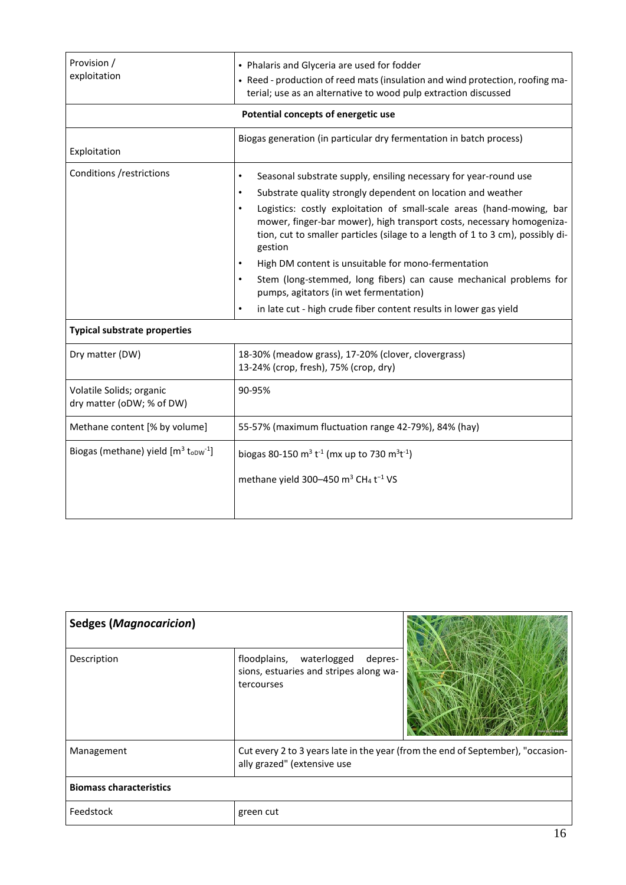| Provision /<br>exploitation                                    | • Phalaris and Glyceria are used for fodder<br>• Reed - production of reed mats (insulation and wind protection, roofing ma-<br>terial; use as an alternative to wood pulp extraction discussed                                                                                                                                                                                                                                                                                                                                                                                                                                                                                 |  |
|----------------------------------------------------------------|---------------------------------------------------------------------------------------------------------------------------------------------------------------------------------------------------------------------------------------------------------------------------------------------------------------------------------------------------------------------------------------------------------------------------------------------------------------------------------------------------------------------------------------------------------------------------------------------------------------------------------------------------------------------------------|--|
|                                                                | Potential concepts of energetic use                                                                                                                                                                                                                                                                                                                                                                                                                                                                                                                                                                                                                                             |  |
| Exploitation                                                   | Biogas generation (in particular dry fermentation in batch process)                                                                                                                                                                                                                                                                                                                                                                                                                                                                                                                                                                                                             |  |
| Conditions /restrictions                                       | Seasonal substrate supply, ensiling necessary for year-round use<br>$\bullet$<br>Substrate quality strongly dependent on location and weather<br>$\bullet$<br>Logistics: costly exploitation of small-scale areas (hand-mowing, bar<br>$\bullet$<br>mower, finger-bar mower), high transport costs, necessary homogeniza-<br>tion, cut to smaller particles (silage to a length of 1 to 3 cm), possibly di-<br>gestion<br>High DM content is unsuitable for mono-fermentation<br>Stem (long-stemmed, long fibers) can cause mechanical problems for<br>pumps, agitators (in wet fermentation)<br>in late cut - high crude fiber content results in lower gas yield<br>$\bullet$ |  |
| <b>Typical substrate properties</b>                            |                                                                                                                                                                                                                                                                                                                                                                                                                                                                                                                                                                                                                                                                                 |  |
| Dry matter (DW)                                                | 18-30% (meadow grass), 17-20% (clover, clovergrass)<br>13-24% (crop, fresh), 75% (crop, dry)                                                                                                                                                                                                                                                                                                                                                                                                                                                                                                                                                                                    |  |
| Volatile Solids; organic<br>dry matter (oDW; % of DW)          | 90-95%                                                                                                                                                                                                                                                                                                                                                                                                                                                                                                                                                                                                                                                                          |  |
| Methane content [% by volume]                                  | 55-57% (maximum fluctuation range 42-79%), 84% (hay)                                                                                                                                                                                                                                                                                                                                                                                                                                                                                                                                                                                                                            |  |
| Biogas (methane) yield $[m^3$ t <sub>oDW</sub> <sup>-1</sup> ] | biogas 80-150 m <sup>3</sup> t <sup>-1</sup> (mx up to 730 m <sup>3</sup> t <sup>-1</sup> )<br>methane yield 300-450 m <sup>3</sup> CH <sub>4</sub> t <sup>-1</sup> VS                                                                                                                                                                                                                                                                                                                                                                                                                                                                                                          |  |

| <b>Sedges (Magnocaricion)</b>  |                                                                                             |                                                                                 |
|--------------------------------|---------------------------------------------------------------------------------------------|---------------------------------------------------------------------------------|
| Description                    | floodplains, waterlogged<br>depres-<br>sions, estuaries and stripes along wa-<br>tercourses |                                                                                 |
| Management                     | ally grazed" (extensive use                                                                 | Cut every 2 to 3 years late in the year (from the end of September), "occasion- |
| <b>Biomass characteristics</b> |                                                                                             |                                                                                 |
| Feedstock                      | green cut                                                                                   |                                                                                 |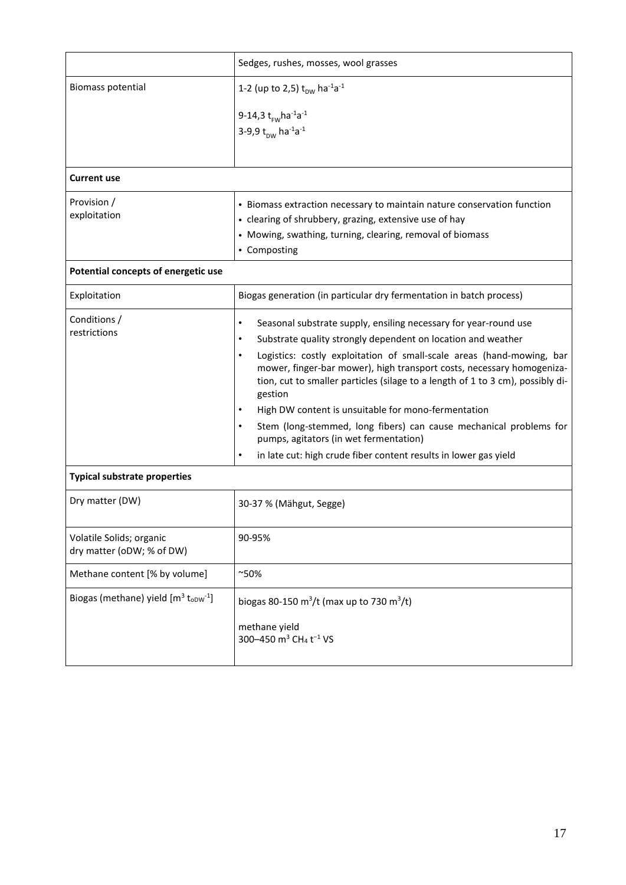|                                                                | Sedges, rushes, mosses, wool grasses                                                                                                                                                                                                        |
|----------------------------------------------------------------|---------------------------------------------------------------------------------------------------------------------------------------------------------------------------------------------------------------------------------------------|
| <b>Biomass potential</b>                                       | 1-2 (up to 2,5) $t_{DW}$ ha <sup>-1</sup> a <sup>-1</sup>                                                                                                                                                                                   |
|                                                                | 9-14,3 $t_{rw}$ ha <sup>-1</sup> a <sup>-1</sup>                                                                                                                                                                                            |
|                                                                | 3-9,9 t <sub>pw</sub> ha <sup>-1</sup> a <sup>-1</sup>                                                                                                                                                                                      |
|                                                                |                                                                                                                                                                                                                                             |
| Current use                                                    |                                                                                                                                                                                                                                             |
| Provision /                                                    | • Biomass extraction necessary to maintain nature conservation function                                                                                                                                                                     |
| exploitation                                                   | • clearing of shrubbery, grazing, extensive use of hay                                                                                                                                                                                      |
|                                                                | • Mowing, swathing, turning, clearing, removal of biomass                                                                                                                                                                                   |
|                                                                | • Composting                                                                                                                                                                                                                                |
| Potential concepts of energetic use                            |                                                                                                                                                                                                                                             |
| Exploitation                                                   | Biogas generation (in particular dry fermentation in batch process)                                                                                                                                                                         |
| Conditions /                                                   | Seasonal substrate supply, ensiling necessary for year-round use<br>$\bullet$                                                                                                                                                               |
| restrictions                                                   | Substrate quality strongly dependent on location and weather<br>$\bullet$                                                                                                                                                                   |
|                                                                | Logistics: costly exploitation of small-scale areas (hand-mowing, bar<br>mower, finger-bar mower), high transport costs, necessary homogeniza-<br>tion, cut to smaller particles (silage to a length of 1 to 3 cm), possibly di-<br>gestion |
|                                                                | High DW content is unsuitable for mono-fermentation                                                                                                                                                                                         |
|                                                                | Stem (long-stemmed, long fibers) can cause mechanical problems for<br>pumps, agitators (in wet fermentation)                                                                                                                                |
|                                                                | in late cut: high crude fiber content results in lower gas yield<br>$\bullet$                                                                                                                                                               |
| <b>Typical substrate properties</b>                            |                                                                                                                                                                                                                                             |
| Dry matter (DW)                                                | 30-37 % (Mähgut, Segge)                                                                                                                                                                                                                     |
| Volatile Solids; organic<br>dry matter (oDW; % of DW)          | 90-95%                                                                                                                                                                                                                                      |
| Methane content [% by volume]                                  | $^{\sim}50\%$                                                                                                                                                                                                                               |
| Biogas (methane) yield $[m^3$ t <sub>oDW</sub> <sup>-1</sup> ] | biogas 80-150 m <sup>3</sup> /t (max up to 730 m <sup>3</sup> /t)                                                                                                                                                                           |
|                                                                | methane yield<br>300-450 m <sup>3</sup> CH <sub>4</sub> t <sup>-1</sup> VS                                                                                                                                                                  |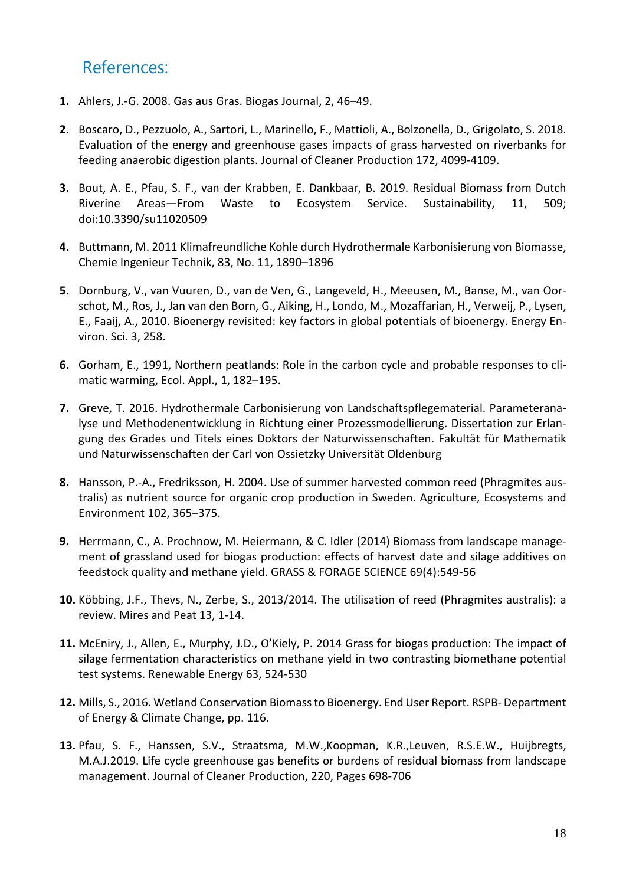# References:

- **1.** Ahlers, J.-G. 2008. Gas aus Gras. Biogas Journal, 2, 46–49.
- **2.** Boscaro, D., Pezzuolo, A., Sartori, L., Marinello, F., Mattioli, A., Bolzonella, D., Grigolato, S. 2018. Evaluation of the energy and greenhouse gases impacts of grass harvested on riverbanks for feeding anaerobic digestion plants. Journal of Cleaner Production 172, 4099-4109.
- **3.** Bout, A. E., Pfau, S. F., van der Krabben, E. Dankbaar, B. 2019. Residual Biomass from Dutch Riverine Areas—From Waste to Ecosystem Service. Sustainability, 11, 509; doi:10.3390/su11020509
- **4.** Buttmann, M. 2011 Klimafreundliche Kohle durch Hydrothermale Karbonisierung von Biomasse, Chemie Ingenieur Technik, 83, No. 11, 1890–1896
- **5.** Dornburg, V., van Vuuren, D., van de Ven, G., Langeveld, H., Meeusen, M., Banse, M., van Oorschot, M., Ros, J., Jan van den Born, G., Aiking, H., Londo, M., Mozaffarian, H., Verweij, P., Lysen, E., Faaij, A., 2010. Bioenergy revisited: key factors in global potentials of bioenergy. Energy Environ. Sci. 3, 258.
- **6.** Gorham, E., 1991, Northern peatlands: Role in the carbon cycle and probable responses to climatic warming, Ecol. Appl., 1, 182–195.
- **7.** Greve, T. 2016. Hydrothermale Carbonisierung von Landschaftspflegematerial. Parameteranalyse und Methodenentwicklung in Richtung einer Prozessmodellierung. Dissertation zur Erlangung des Grades und Titels eines Doktors der Naturwissenschaften. Fakultät für Mathematik und Naturwissenschaften der Carl von Ossietzky Universität Oldenburg
- **8.** Hansson, P.-A., Fredriksson, H. 2004. Use of summer harvested common reed (Phragmites australis) as nutrient source for organic crop production in Sweden. Agriculture, Ecosystems and Environment 102, 365–375.
- **9.** Herrmann, C., A. Prochnow, M. Heiermann, & C. Idler (2014) Biomass from landscape management of grassland used for biogas production: effects of harvest date and silage additives on feedstock quality and methane yield. GRASS & FORAGE SCIENCE 69(4):549-56
- **10.** Köbbing, J.F., Thevs, N., Zerbe, S., 2013/2014. The utilisation of reed (Phragmites australis): a review. Mires and Peat 13, 1-14.
- **11.** McEniry, J., Allen, E., Murphy, J.D., O'Kiely, P. 2014 Grass for biogas production: The impact of silage fermentation characteristics on methane yield in two contrasting biomethane potential test systems. Renewable Energy 63, 524-530
- **12.** Mills, S., 2016. Wetland Conservation Biomassto Bioenergy. End User Report. RSPB- Department of Energy & Climate Change, pp. 116.
- **13.** Pfau, S. F., Hanssen, S.V., Straatsma, M.W.,Koopman, K.R.,Leuven, R.S.E.W., Huijbregts, M.A.J.2019. Life cycle greenhouse gas benefits or burdens of residual biomass from landscape management. Journal of Cleaner Production, 220, Pages 698-706